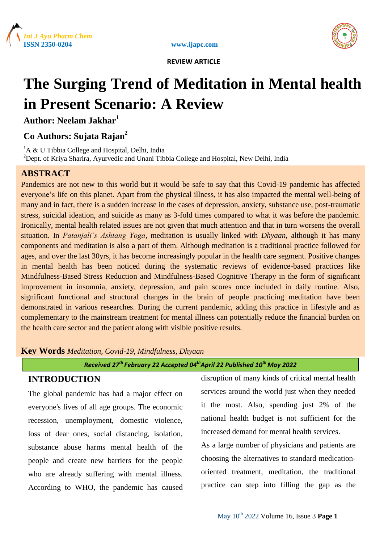





# **The Surging Trend of Meditation in Mental health in Present Scenario: A Review**

**Author: Neelam Jakhar<sup>1</sup>**

# **Co Authors: Sujata Rajan<sup>2</sup>**

 ${}^{1}$ A & U Tibbia College and Hospital, Delhi, India <sup>2</sup>Dept. of Kriya Sharira, Ayurvedic and Unani Tibbia College and Hospital, New Delhi, India

# **ABSTRACT**

Pandemics are not new to this world but it would be safe to say that this Covid-19 pandemic has affected everyone's life on this planet. Apart from the physical illness, it has also impacted the mental well-being of many and in fact, there is a sudden increase in the cases of depression, anxiety, substance use, post-traumatic stress, suicidal ideation, and suicide as many as 3-fold times compared to what it was before the pandemic. Ironically, mental health related issues are not given that much attention and that in turn worsens the overall situation. In *Patanjali's Ashtang Yoga*, meditation is usually linked with *Dhyaan*, although it has many components and meditation is also a part of them. Although meditation is a traditional practice followed for ages, and over the last 30yrs, it has become increasingly popular in the health care segment. Positive changes in mental health has been noticed during the systematic reviews of evidence-based practices like Mindfulness-Based Stress Reduction and Mindfulness-Based Cognitive Therapy in the form of significant improvement in insomnia, anxiety, depression, and pain scores once included in daily routine. Also, significant functional and structural changes in the brain of people practicing meditation have been demonstrated in various researches. During the current pandemic, adding this practice in lifestyle and as complementary to the mainstream treatment for mental illness can potentially reduce the financial burden on the health care sector and the patient along with visible positive results.

**Key Words** *Meditation, Covid-19, Mindfulness, Dhyaan*

*Received 27 th February 22 Accepted 04 thApril 22 Published 10th May 2022*

# **INTRODUCTION**

The global pandemic has had a major effect on everyone's lives of all age groups. The economic recession, unemployment, domestic violence, loss of dear ones, social distancing, isolation, substance abuse harms mental health of the people and create new barriers for the people who are already suffering with mental illness. According to WHO, the pandemic has caused disruption of many kinds of critical mental health services around the world just when they needed it the most. Also, spending just 2% of the national health budget is not sufficient for the increased demand for mental health services.

As a large number of physicians and patients are choosing the alternatives to standard medicationoriented treatment, meditation, the traditional practice can step into filling the gap as the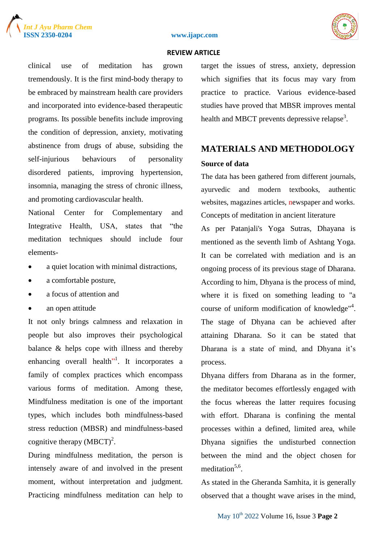





clinical use of meditation has grown tremendously. It is the first mind-body therapy to be embraced by mainstream health care providers and incorporated into evidence-based therapeutic programs. Its possible benefits include improving the condition of depression, anxiety, motivating abstinence from drugs of abuse, subsiding the self-injurious behaviours of personality disordered patients, improving hypertension, insomnia, managing the stress of chronic illness, and promoting cardiovascular health.

National Center for Complementary and Integrative Health, USA, states that "the meditation techniques should include four elements-

- a quiet location with minimal distractions,
- a comfortable posture,
- a focus of attention and
- an open attitude

It not only brings calmness and relaxation in people but also improves their psychological balance & helps cope with illness and thereby enhancing overall health<sup>"</sup>. It incorporates a family of complex practices which encompass various forms of meditation. Among these, Mindfulness meditation is one of the important types, which includes both mindfulness-based stress reduction (MBSR) and mindfulness-based cognitive therapy  $(MBCT)^2$ .

During mindfulness meditation, the person is intensely aware of and involved in the present moment, without interpretation and judgment. Practicing mindfulness meditation can help to target the issues of stress, anxiety, depression which signifies that its focus may vary from practice to practice. Various evidence-based studies have proved that MBSR improves mental health and MBCT prevents depressive relapse<sup>3</sup>.

# **MATERIALS AND METHODOLOGY Source of data**

The data has been gathered from different journals, ayurvedic and modern textbooks, authentic websites, magazines articles, newspaper and works. Concepts of meditation in ancient literature

As per Patanjali's Yoga Sutras, Dhayana is mentioned as the seventh limb of Ashtang Yoga. It can be correlated with mediation and is an ongoing process of its previous stage of Dharana. According to him, Dhyana is the process of mind, where it is fixed on something leading to "a course of uniform modification of knowledge"<sup>4</sup>. The stage of Dhyana can be achieved after attaining Dharana. So it can be stated that Dharana is a state of mind, and Dhyana it's process.

Dhyana differs from Dharana as in the former, the meditator becomes effortlessly engaged with the focus whereas the latter requires focusing with effort. Dharana is confining the mental processes within a defined, limited area, while Dhyana signifies the undisturbed connection between the mind and the object chosen for meditation<sup>5,6</sup>.

As stated in the Gheranda Samhita, it is generally observed that a thought wave arises in the mind,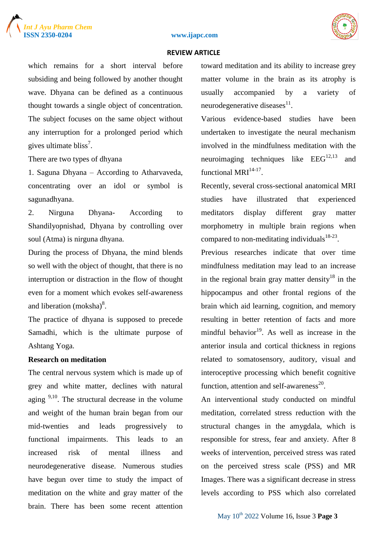





which remains for a short interval before subsiding and being followed by another thought wave. Dhyana can be defined as a continuous thought towards a single object of concentration. The subject focuses on the same object without any interruption for a prolonged period which gives ultimate bliss<sup>7</sup>.

There are two types of dhyana

1. Saguna Dhyana – According to Atharvaveda, concentrating over an idol or symbol is sagunadhyana.

2. Nirguna Dhyana- According to Shandilyopnishad, Dhyana by controlling over soul (Atma) is nirguna dhyana.

During the process of Dhyana, the mind blends so well with the object of thought, that there is no interruption or distraction in the flow of thought even for a moment which evokes self-awareness and liberation  $(moksha)^8$ .

The practice of dhyana is supposed to precede Samadhi, which is the ultimate purpose of Ashtang Yoga.

# **Research on meditation**

The central nervous system which is made up of grey and white matter, declines with natural aging  $9,10$ . The structural decrease in the volume and weight of the human brain began from our mid-twenties and leads progressively to functional impairments. This leads to an increased risk of mental illness and neurodegenerative disease. Numerous studies have begun over time to study the impact of meditation on the white and gray matter of the brain. There has been some recent attention toward meditation and its ability to increase grey matter volume in the brain as its atrophy is usually accompanied by a variety of neurodegenerative diseases $^{11}$ .

Various evidence-based studies have been undertaken to investigate the neural mechanism involved in the mindfulness meditation with the neuroimaging techniques like  $EEG<sup>12,13</sup>$  and functional  $MRI<sup>14-17</sup>$ .

Recently, several cross-sectional anatomical MRI studies have illustrated that experienced meditators display different gray matter morphometry in multiple brain regions when compared to non-meditating individuals $18-23$ .

Previous researches indicate that over time mindfulness meditation may lead to an increase in the regional brain gray matter density<sup>18</sup> in the hippocampus and other frontal regions of the brain which aid learning, cognition, and memory resulting in better retention of facts and more mindful behavior $19$ . As well as increase in the anterior insula and cortical thickness in regions related to somatosensory, auditory, visual and interoceptive processing which benefit cognitive function, attention and self-awareness $^{20}$ .

An interventional study conducted on mindful meditation, correlated stress reduction with the structural changes in the amygdala, which is responsible for stress, fear and anxiety. After 8 weeks of intervention, perceived stress was rated on the perceived stress scale (PSS) and MR Images. There was a significant decrease in stress levels according to PSS which also correlated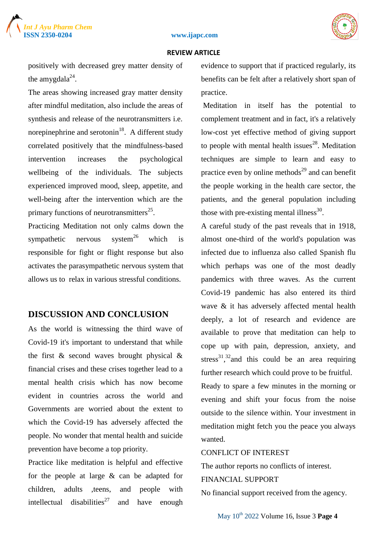



positively with decreased grey matter density of the amygdala $^{24}$ .

The areas showing increased gray matter density after mindful meditation, also include the areas of synthesis and release of the neurotransmitters i.e. norepinephrine and serotonin $^{18}$ . A different study correlated positively that the mindfulness-based intervention increases the psychological wellbeing of the individuals. The subjects experienced improved mood, sleep, appetite, and well-being after the intervention which are the primary functions of neurotransmitters<sup>25</sup>.

Practicing Meditation not only calms down the sympathetic nervous system<sup>26</sup> which is responsible for fight or flight response but also activates the parasympathetic nervous system that allows us to relax in various stressful conditions.

# **DISCUSSION AND CONCLUSION**

As the world is witnessing the third wave of Covid-19 it's important to understand that while the first & second waves brought physical & financial crises and these crises together lead to a mental health crisis which has now become evident in countries across the world and Governments are worried about the extent to which the Covid-19 has adversely affected the people. No wonder that mental health and suicide prevention have become a top priority.

Practice like meditation is helpful and effective for the people at large & can be adapted for children, adults ,teens, and people with intellectual disabilities<sup>27</sup> and have enough

evidence to support that if practiced regularly, its benefits can be felt after a relatively short span of practice.

Meditation in itself has the potential to complement treatment and in fact, it's a relatively low-cost yet effective method of giving support to people with mental health issues<sup>28</sup>. Meditation techniques are simple to learn and easy to practice even by online methods $^{29}$  and can benefit the people working in the health care sector, the patients, and the general population including those with pre-existing mental illness<sup>30</sup>.

A careful study of the past reveals that in 1918, almost one-third of the world's population was infected due to influenza also called Spanish flu which perhaps was one of the most deadly pandemics with three waves. As the current Covid-19 pandemic has also entered its third wave & it has adversely affected mental health deeply, a lot of research and evidence are available to prove that meditation can help to cope up with pain, depression, anxiety, and stress<sup>31,32</sup> and this could be an area requiring further research which could prove to be fruitful.

Ready to spare a few minutes in the morning or evening and shift your focus from the noise outside to the silence within. Your investment in meditation might fetch you the peace you always wanted.

# CONFLICT OF INTEREST

The author reports no conflicts of interest.

# FINANCIAL SUPPORT

No financial support received from the agency.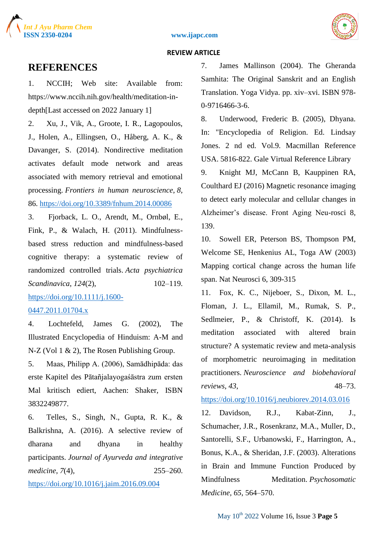





# **REFERENCES**

1. NCCIH; Web site: Available from: https://www.nccih.nih.gov/health/meditation-indepth[Last accessed on 2022 January 1]

2. Xu, J., Vik, A., Groote, I. R., Lagopoulos, J., Holen, A., Ellingsen, O., Håberg, A. K., & Davanger, S. (2014). Nondirective meditation activates default mode network and areas associated with memory retrieval and emotional processing. *Frontiers in human neuroscience*, *8*, 86. [https://doi.org/10.3389/fnhum.2014.00086](about:blank)

3. Fjorback, L. O., Arendt, M., Ornbøl, E., Fink, P., & Walach, H. (2011). Mindfulnessbased stress reduction and mindfulness-based cognitive therapy: a systematic review of randomized controlled trials. *Acta psychiatrica Scandinavica*, *124(2)*, 102–119.

[https://doi.org/10.1111/j.1600-](about:blank)

## [0447.2011.01704.x](about:blank)

4. Lochtefeld, James G. (2002), The Illustrated Encyclopedia of Hinduism: A-M and N-Z (Vol 1 & 2), The Rosen Publishing Group.

5. Maas, Philipp A. (2006), Samādhipāda: das erste Kapitel des Pātañjalayogaśāstra zum ersten Mal kritisch ediert, Aachen: Shaker, ISBN 3832249877.

6. Telles, S., Singh, N., Gupta, R. K., & Balkrishna, A. (2016). A selective review of dharana and dhyana in healthy participants. *Journal of Ayurveda and integrative medicine*, *7*(4), 255–260.

[https://doi.org/10.1016/j.jaim.2016.09.004](about:blank)

7. James Mallinson (2004). The Gheranda Samhita: The Original Sanskrit and an English Translation. Yoga Vidya. pp. xiv–xvi. ISBN 978- 0-9716466-3-6.

8. Underwood, Frederic B. (2005), Dhyana. In: "Encyclopedia of Religion. Ed. Lindsay Jones. 2 nd ed. Vol.9. Macmillan Reference USA. 5816-822. Gale Virtual Reference Library

9. Knight MJ, McCann B, Kauppinen RA, Coulthard EJ (2016) Magnetic resonance imaging to detect early molecular and cellular changes in Alzheimer's disease. Front Aging Neu-rosci 8, 139.

10. Sowell ER, Peterson BS, Thompson PM, Welcome SE, Henkenius AL, Toga AW (2003) Mapping cortical change across the human life span. Nat Neurosci 6, 309-315

11. Fox, K. C., Nijeboer, S., Dixon, M. L., Floman, J. L., Ellamil, M., Rumak, S. P., Sedlmeier, P., & Christoff, K. (2014). Is meditation associated with altered brain structure? A systematic review and meta-analysis of morphometric neuroimaging in meditation practitioners. *Neuroscience and biobehavioral reviews*, 43, 48–73.

[https://doi.org/10.1016/j.neubiorev.2014.03.016](about:blank)

12. Davidson, R.J., Kabat-Zinn, J., Schumacher, J.R., Rosenkranz, M.A., Muller, D., Santorelli, S.F., Urbanowski, F., Harrington, A., Bonus, K.A., & Sheridan, J.F. (2003). Alterations in Brain and Immune Function Produced by Mindfulness Meditation. *Psychosomatic Medicine, 65*, 564–570.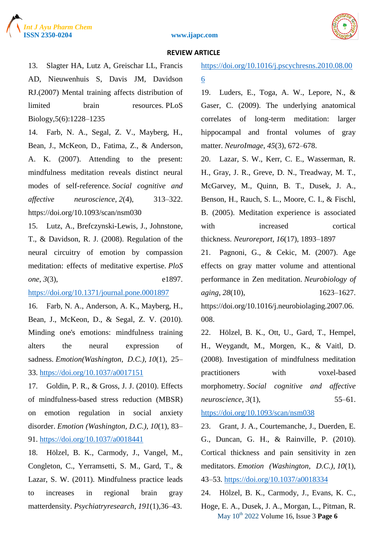





13. Slagter HA, Lutz A, Greischar LL, Francis AD, Nieuwenhuis S, Davis JM, Davidson RJ.(2007) Mental training affects distribution of limited brain resources. PLoS Biology,5(6):1228–1235

14. Farb, N. A., Segal, Z. V., Mayberg, H., Bean, J., McKeon, D., Fatima, Z., & Anderson, A. K. (2007). Attending to the present: mindfulness meditation reveals distinct neural modes of self-reference. *Social cognitive and affective neuroscience*, *2*(4), 313–322. https://doi.org/10.1093/scan/nsm030

15. Lutz, A., Brefczynski-Lewis, J., Johnstone, T., & Davidson, R. J. (2008). Regulation of the neural circuitry of emotion by compassion meditation: effects of meditative expertise. *PloS one*, *3*(3), e1897.

[https://doi.org/10.1371/journal.pone.0001897](about:blank)

16. Farb, N. A., Anderson, A. K., Mayberg, H., Bean, J., McKeon, D., & Segal, Z. V. (2010). Minding one's emotions: mindfulness training alters the neural expression of sadness. *Emotion(Washington, D.C.)*, *10*(1), 25– 33. [https://doi.org/10.1037/a0017151](about:blank)

17. Goldin, P. R., & Gross, J. J. (2010). Effects of mindfulness-based stress reduction (MBSR) on emotion regulation in social anxiety disorder. *Emotion (Washington, D.C.)*, *10*(1), 83– 91. [https://doi.org/10.1037/a0018441](about:blank)

18. Hölzel, B. K., Carmody, J., Vangel, M., Congleton, C., Yerramsetti, S. M., Gard, T., & Lazar, S. W. (2011). Mindfulness practice leads to increases in regional brain gray matterdensity. *Psychiatryresearch*, *191*(1),36–43.

[https://doi.org/10.1016/j.pscychresns.2010.08.00](about:blank) [6](about:blank)

19. Luders, E., Toga, A. W., Lepore, N., & Gaser, C. (2009). The underlying anatomical correlates of long-term meditation: larger hippocampal and frontal volumes of gray matter. *NeuroImage*, *45*(3), 672–678.

20. Lazar, S. W., Kerr, C. E., Wasserman, R. H., Gray, J. R., Greve, D. N., Treadway, M. T., McGarvey, M., Quinn, B. T., Dusek, J. A., Benson, H., Rauch, S. L., Moore, C. I., & Fischl, B. (2005). Meditation experience is associated with increased cortical thickness. *Neuroreport*, *16*(17), 1893–1897

21. Pagnoni, G., & Cekic, M. (2007). Age effects on gray matter volume and attentional performance in Zen meditation. *Neurobiology of aging*, 28(10), 1623–1627. https://doi.org/10.1016/j.neurobiolaging.2007.06. 008.

22. Hölzel, B. K., Ott, U., Gard, T., Hempel, H., Weygandt, M., Morgen, K., & Vaitl, D. (2008). Investigation of mindfulness meditation practitioners with voxel-based morphometry. *Social cognitive and affective neuroscience*, *3*(1), 55–61.

[https://doi.org/10.1093/scan/nsm038](about:blank)

23. Grant, J. A., Courtemanche, J., Duerden, E. G., Duncan, G. H., & Rainville, P. (2010). Cortical thickness and pain sensitivity in zen meditators. *Emotion (Washington, D.C.)*, *10*(1), 43–53. [https://doi.org/10.1037/a0018334](about:blank)

24. Hölzel, B. K., Carmody, J., Evans, K. C.,

May 10th 2022 Volume 16, Issue 3 **Page 6** Hoge, E. A., Dusek, J. A., Morgan, L., Pitman, R.